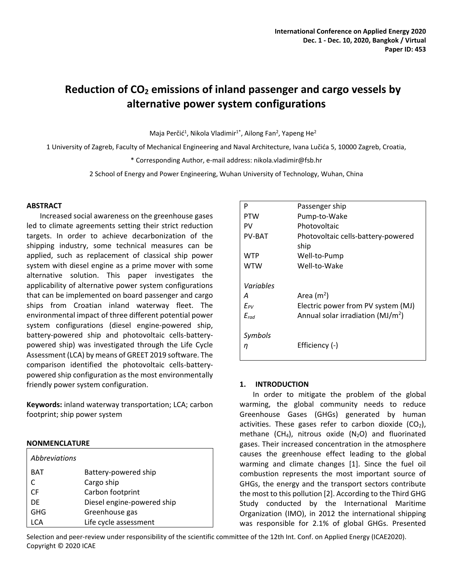# **Reduction of CO<sup>2</sup> emissions of inland passenger and cargo vessels by alternative power system configurations**

Maja Perčić<sup>1</sup>, Nikola Vladimir<sup>1\*</sup>, Ailong Fan<sup>2</sup>, Yapeng He<sup>2</sup>

1 University of Zagreb, Faculty of Mechanical Engineering and Naval Architecture, Ivana Lučića 5, 10000 Zagreb, Croatia,

\* Corresponding Author, e-mail address: nikola.vladimir@fsb.hr

2 School of Energy and Power Engineering, Wuhan University of Technology, Wuhan, China

# **ABSTRACT**

Increased social awareness on the greenhouse gases led to climate agreements setting their strict reduction targets. In order to achieve decarbonization of the shipping industry, some technical measures can be applied, such as replacement of classical ship power system with diesel engine as a prime mover with some alternative solution. This paper investigates the applicability of alternative power system configurations that can be implemented on board passenger and cargo ships from Croatian inland waterway fleet. The environmental impact of three different potential power system configurations (diesel engine-powered ship, battery-powered ship and photovoltaic cells-batterypowered ship) was investigated through the Life Cycle Assessment (LCA) by means of GREET 2019 software. The comparison identified the photovoltaic cells-batterypowered ship configuration as the most environmentally friendly power system configuration.

**Keywords:** inland waterway transportation; LCA; carbon footprint; ship power system

# **NONMENCLATURE**

| Abbreviations |                            |
|---------------|----------------------------|
| <b>BAT</b>    | Battery-powered ship       |
|               | Cargo ship                 |
| <b>CF</b>     | Carbon footprint           |
| DF            | Diesel engine-powered ship |
| GHG           | Greenhouse gas             |
| CΔ            | Life cycle assessment      |

| P             | Passenger ship                       |
|---------------|--------------------------------------|
| PTW           | Pump-to-Wake                         |
| PV            | Photovoltaic                         |
| <b>PV-BAT</b> | Photovoltaic cells-battery-powered   |
|               | ship                                 |
| <b>WTP</b>    | Well-to-Pump                         |
| <b>WTW</b>    | Well-to-Wake                         |
|               |                                      |
| Variables     |                                      |
| Α             | Area $(m2)$                          |
| $E_{PV}$      | Electric power from PV system (MJ)   |
| $E_{rad}$     | Annual solar irradiation ( $MJ/m2$ ) |
|               |                                      |
| Symbols       |                                      |
| η             | Efficiency (-)                       |
|               |                                      |

# **1. INTRODUCTION**

In order to mitigate the problem of the global warming, the global community needs to reduce Greenhouse Gases (GHGs) generated by human activities. These gases refer to carbon dioxide  $(CO<sub>2</sub>)$ , methane (CH<sub>4</sub>), nitrous oxide (N<sub>2</sub>O) and fluorinated gases. Their increased concentration in the atmosphere causes the greenhouse effect leading to the global warming and climate changes [\[1\].](#page-4-0) Since the fuel oil combustion represents the most important source of GHGs, the energy and the transport sectors contribute the most to this pollutio[n \[2\].](#page-4-1) According to the Third GHG Study conducted by the International Maritime Organization (IMO), in 2012 the international shipping was responsible for 2.1% of global GHGs. Presented

Selection and peer-review under responsibility of the scientific committee of the 12th Int. Conf. on Applied Energy (ICAE2020). Copyright © 2020 ICAE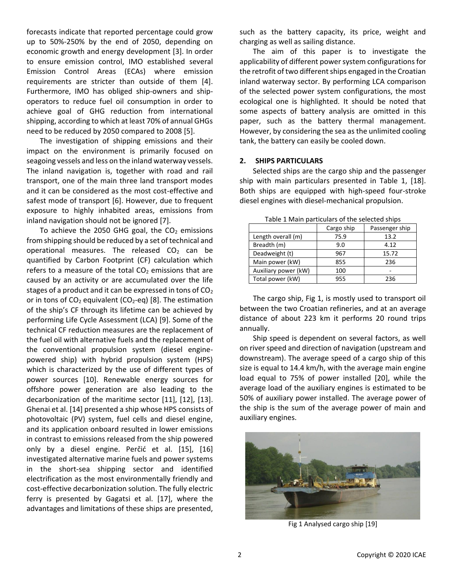forecasts indicate that reported percentage could grow up to 50%-250% by the end of 2050, depending on economic growth and energy development [\[3\].](#page-4-2) In order to ensure emission control, IMO established several Emission Control Areas (ECAs) where emission requirements are stricter than outside of them [\[4\].](#page-4-3) Furthermore, IMO has obliged ship-owners and shipoperators to reduce fuel oil consumption in order to achieve goal of GHG reduction from international shipping, according to which at least 70% of annual GHGs need to be reduced by 2050 compared to 2008 [\[5\].](#page-4-4)

The investigation of shipping emissions and their impact on the environment is primarily focused on seagoing vessels and less on the inland waterway vessels. The inland navigation is, together with road and rail transport, one of the main three land transport modes and it can be considered as the most cost-effective and safest mode of transport [\[6\].](#page-4-5) However, due to frequent exposure to highly inhabited areas, emissions from inland navigation should not be ignored [\[7\].](#page-4-6)

To achieve the 2050 GHG goal, the  $CO<sub>2</sub>$  emissions from shipping should be reduced by a set of technical and operational measures. The released  $CO<sub>2</sub>$  can be quantified by Carbon Footprint (CF) calculation which refers to a measure of the total  $CO<sub>2</sub>$  emissions that are caused by an activity or are accumulated over the life stages of a product and it can be expressed in tons of  $CO<sub>2</sub>$ or in tons of  $CO<sub>2</sub>$  equivalent ( $CO<sub>2</sub>$ -eq) [\[8\].](#page-4-7) The estimation of the ship's CF through its lifetime can be achieved by performing Life Cycle Assessment (LCA) [\[9\].](#page-4-8) Some of the technical CF reduction measures are the replacement of the fuel oil with alternative fuels and the replacement of the conventional propulsion system (diesel enginepowered ship) with hybrid propulsion system (HPS) which is characterized by the use of different types of power sources [\[10\].](#page-4-9) Renewable energy sources for offshore power generation are also leading to the decarbonization of the maritime sector [\[11\],](#page-5-0) [\[12\],](#page-5-1) [\[13\].](#page-5-2) Ghenai et al. [\[14\]](#page-5-3) presented a ship whose HPS consists of photovoltaic (PV) system, fuel cells and diesel engine, and its application onboard resulted in lower emissions in contrast to emissions released from the ship powered only by a diesel engine. Perčić et al. [\[15\],](#page-5-4) [\[16\]](#page-5-5) investigated alternative marine fuels and power systems in the short-sea shipping sector and identified electrification as the most environmentally friendly and cost-effective decarbonization solution. The fully electric ferry is presented by Gagatsi et al. [\[17\],](#page-5-6) where the advantages and limitations of these ships are presented,

such as the battery capacity, its price, weight and charging as well as sailing distance.

The aim of this paper is to investigate the applicability of different power system configurations for the retrofit of two different ships engaged in the Croatian inland waterway sector. By performing LCA comparison of the selected power system configurations, the most ecological one is highlighted. It should be noted that some aspects of battery analysis are omitted in this paper, such as the battery thermal management. However, by considering the sea as the unlimited cooling tank, the battery can easily be cooled down.

#### **2. SHIPS PARTICULARS**

Selected ships are the cargo ship and the passenger ship with main particulars presented in Table 1, [\[18\].](#page-5-7) Both ships are equipped with high-speed four-stroke diesel engines with diesel-mechanical propulsion.

|                      | Cargo ship | Passenger ship |  |  |
|----------------------|------------|----------------|--|--|
| Length overall (m)   | 75.9       | 13.2           |  |  |
| Breadth (m)          | 9.0        | 4.12           |  |  |
| Deadweight (t)       | 967        | 15.72          |  |  |
| Main power (kW)      | 855        | 236            |  |  |
| Auxiliary power (kW) | 100        |                |  |  |
| Total power (kW)     | 955        | 236            |  |  |

Table 1 Main particulars of the selected ships

The cargo ship, Fig 1, is mostly used to transport oil between the two Croatian refineries, and at an average distance of about 223 km it performs 20 round trips annually.

Ship speed is dependent on several factors, as well on river speed and direction of navigation (upstream and downstream). The average speed of a cargo ship of this size is equal to 14.4 km/h, with the average main engine load equal to 75% of power installed [\[20\],](#page-5-8) while the average load of the auxiliary engines is estimated to be 50% of auxiliary power installed. The average power of the ship is the sum of the average power of main and auxiliary engines.



Fig 1 Analysed cargo ship [\[19\]](#page-5-9)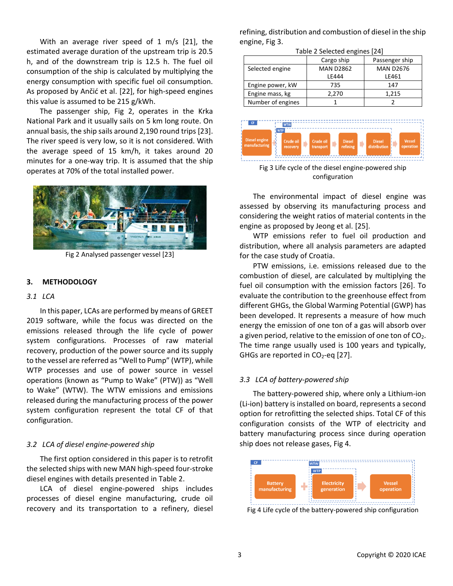With an average river speed of 1 m/s [\[21\],](#page-5-10) the estimated average duration of the upstream trip is 20.5 h, and of the downstream trip is 12.5 h. The fuel oil consumption of the ship is calculated by multiplying the energy consumption with specific fuel oil consumption. As proposed by Ančić et al. [\[22\],](#page-5-11) for high-speed engines this value is assumed to be 215 g/kWh.

The passenger ship, Fig 2, operates in the Krka National Park and it usually sails on 5 km long route. On annual basis, the ship sails around 2,190 round trip[s \[23\].](#page-5-12) The river speed is very low, so it is not considered. With the average speed of 15 km/h, it takes around 20 minutes for a one-way trip. It is assumed that the ship operates at 70% of the total installed power.



Fig 2 Analysed passenger vesse[l \[23\]](#page-5-12)

#### **3. METHODOLOGY**

#### *3.1 LCA*

In this paper, LCAs are performed by means of GREET 2019 software, while the focus was directed on the emissions released through the life cycle of power system configurations. Processes of raw material recovery, production of the power source and its supply to the vessel are referred as "Well to Pump" (WTP), while WTP processes and use of power source in vessel operations (known as "Pump to Wake" (PTW)) as "Well to Wake" (WTW). The WTW emissions and emissions released during the manufacturing process of the power system configuration represent the total CF of that configuration.

#### *3.2 LCA of diesel engine-powered ship*

The first option considered in this paper is to retrofit the selected ships with new MAN high-speed four-stroke diesel engines with details presented in Table 2.

LCA of diesel engine-powered ships includes processes of diesel engine manufacturing, crude oil recovery and its transportation to a refinery, diesel refining, distribution and combustion of diesel in the ship engine, Fig 3.

Table 2 Selected engines [\[24\]](#page-5-13)

|                   | Cargo ship       | Passenger ship   |  |  |
|-------------------|------------------|------------------|--|--|
| Selected engine   | <b>MAN D2862</b> | <b>MAN D2676</b> |  |  |
|                   | IF444            | LE461            |  |  |
| Engine power, kW  | 735              | 147              |  |  |
| Engine mass, kg   | 2.270            | 1.215            |  |  |
| Number of engines |                  |                  |  |  |



Fig 3 Life cycle of the diesel engine-powered ship configuration

The environmental impact of diesel engine was assessed by observing its manufacturing process and considering the weight ratios of material contents in the engine as proposed by Jeong et al. [\[25\].](#page-5-14)

WTP emissions refer to fuel oil production and distribution, where all analysis parameters are adapted for the case study of Croatia.

PTW emissions, i.e. emissions released due to the combustion of diesel, are calculated by multiplying the fuel oil consumption with the emission factors [\[26\].](#page-5-15) To evaluate the contribution to the greenhouse effect from different GHGs, the Global Warming Potential (GWP) has been developed. It represents a measure of how much energy the emission of one ton of a gas will absorb over a given period, relative to the emission of one ton of  $CO<sub>2</sub>$ . The time range usually used is 100 years and typically, GHGs are reported in  $CO<sub>2</sub>$ -eq [\[27\].](#page-5-16)

# *3.3 LCA of battery-powered ship*

The battery-powered ship, where only a Lithium-ion (Li-ion) battery is installed on board, represents a second option for retrofitting the selected ships. Total CF of this configuration consists of the WTP of electricity and battery manufacturing process since during operation ship does not release gases, Fig 4.



Fig 4 Life cycle of the battery-powered ship configuration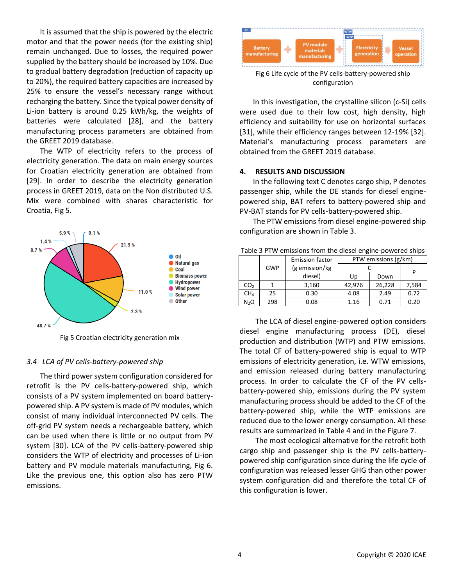It is assumed that the ship is powered by the electric motor and that the power needs (for the existing ship) remain unchanged. Due to losses, the required power supplied by the battery should be increased by 10%. Due to gradual battery degradation (reduction of capacity up to 20%), the required battery capacities are increased by 25% to ensure the vessel's necessary range without recharging the battery. Since the typical power density of Li-ion battery is around 0.25 kWh/kg, the weights of batteries were calculated [\[28\],](#page-5-17) and the battery manufacturing process parameters are obtained from the GREET 2019 database.

The WTP of electricity refers to the process of electricity generation. The data on main energy sources for Croatian electricity generation are obtained from [\[29\].](#page-5-18) In order to describe the electricity generation process in GREET 2019, data on the Non distributed U.S. Mix were combined with shares characteristic for Croatia, Fig 5.



Fig 5 Croatian electricity generation mix

#### *3.4 LCA of PV cells-battery-powered ship*

The third power system configuration considered for retrofit is the PV cells-battery-powered ship, which consists of a PV system implemented on board batterypowered ship. A PV system is made of PV modules, which consist of many individual interconnected PV cells. The off-grid PV system needs a rechargeable battery, which can be used when there is little or no output from PV system [\[30\].](#page-5-19) LCA of the PV cells-battery-powered ship considers the WTP of electricity and processes of Li-ion battery and PV module materials manufacturing, Fig 6. Like the previous one, this option also has zero PTW emissions.



Fig 6 Life cycle of the PV cells-battery-powered ship configuration

In this investigation, the crystalline silicon (c-Si) cells were used due to their low cost, high density, high efficiency and suitability for use on horizontal surfaces [\[31\],](#page-5-20) while their efficiency ranges between 12-19% [\[32\].](#page-5-21) Material's manufacturing process parameters are obtained from the GREET 2019 database.

# **4. RESULTS AND DISCUSSION**

In the following text C denotes cargo ship, P denotes passenger ship, while the DE stands for diesel enginepowered ship, BAT refers to battery-powered ship and PV-BAT stands for PV cells-battery-powered ship.

The PTW emissions from diesel engine-powered ship configuration are shown in Table 3.

| Table 5 T TW CHISSIONS HOM the dieser engine-powered ships |            |                        |                      |        |       |  |
|------------------------------------------------------------|------------|------------------------|----------------------|--------|-------|--|
|                                                            |            | <b>Emission factor</b> | PTW emissions (g/km) |        |       |  |
|                                                            | <b>GWP</b> | (g emission/kg         |                      | D      |       |  |
|                                                            |            | diesel)                | Up                   | Down   |       |  |
| CO <sub>2</sub>                                            |            | 3,160                  | 42,976               | 26,228 | 7,584 |  |
| CH <sub>4</sub>                                            | 25         | 0.30                   | 4.08                 | 2.49   | 0.72  |  |
| N <sub>2</sub> O                                           | 298        | 0.08                   | 1.16                 | 0.71   | 0.20  |  |

Table 3 PTW emissions from the diesel engine-powered ships

The LCA of diesel engine-powered option considers diesel engine manufacturing process (DE), diesel production and distribution (WTP) and PTW emissions. The total CF of battery-powered ship is equal to WTP emissions of electricity generation, i.e. WTW emissions, and emission released during battery manufacturing process. In order to calculate the CF of the PV cellsbattery-powered ship, emissions during the PV system manufacturing process should be added to the CF of the battery-powered ship, while the WTP emissions are reduced due to the lower energy consumption. All these results are summarized in Table 4 and in the Figure 7.

The most ecological alternative for the retrofit both cargo ship and passenger ship is the PV cells-batterypowered ship configuration since during the life cycle of configuration was released lesser GHG than other power system configuration did and therefore the total CF of this configuration is lower.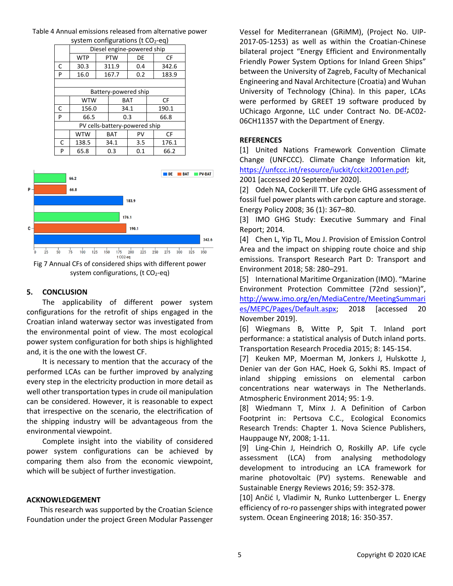|                               | Diesel engine-powered ship |              |                  |      |       |       |
|-------------------------------|----------------------------|--------------|------------------|------|-------|-------|
|                               | <b>WTP</b>                 |              | <b>PTW</b><br>DE |      |       | CF    |
| C                             | 30.3                       |              | 311.9<br>0.4     |      |       | 342.6 |
| P                             | 16.0                       | 167.7<br>0.2 |                  |      | 183.9 |       |
|                               |                            |              |                  |      |       |       |
| Battery-powered ship          |                            |              |                  |      |       |       |
|                               | <b>WTW</b>                 | <b>BAT</b>   |                  |      |       | CF    |
| C                             | 156.0                      |              |                  | 34.1 |       | 190.1 |
| P                             | 66.5                       |              |                  | 0.3  |       | 66.8  |
| PV cells-battery-powered ship |                            |              |                  |      |       |       |
|                               | <b>WTW</b>                 |              | <b>BAT</b>       | PV   |       | CF    |
| C                             | 138.5                      | 34.1         |                  | 3.5  |       | 176.1 |
| P                             | 65.8                       | 0.3          |                  | 0.1  |       | 66.2  |

#### Table 4 Annual emissions released from alternative power system configurations ( $t$  CO<sub>2</sub>-eq)



Fig 7 Annual CFs of considered ships with different power system configurations,  $(t CO<sub>2</sub>-eq)$ 

# **5. CONCLUSION**

The applicability of different power system configurations for the retrofit of ships engaged in the Croatian inland waterway sector was investigated from the environmental point of view. The most ecological power system configuration for both ships is highlighted and, it is the one with the lowest CF.

It is necessary to mention that the accuracy of the performed LCAs can be further improved by analyzing every step in the electricity production in more detail as well other transportation types in crude oil manipulation can be considered. However, it is reasonable to expect that irrespective on the scenario, the electrification of the shipping industry will be advantageous from the environmental viewpoint.

Complete insight into the viability of considered power system configurations can be achieved by comparing them also from the economic viewpoint, which will be subject of further investigation.

# **ACKNOWLEDGEMENT**

This research was supported by the Croatian Science Foundation under the project Green Modular Passenger Vessel for Mediterranean (GRiMM), (Project No. UIP-2017-05-1253) as well as within the Croatian-Chinese bilateral project "Energy Efficient and Environmentally Friendly Power System Options for Inland Green Ships" between the University of Zagreb, Faculty of Mechanical Engineering and Naval Architecture (Croatia) and Wuhan University of Technology (China). In this paper, LCAs were performed by GREET 19 software produced by UChicago Argonne, LLC under Contract No. DE-AC02- 06CH11357 with the Department of Energy.

# **REFERENCES**

<span id="page-4-0"></span>[1] United Nations Framework Convention Climate Change (UNFCCC). Climate Change Information kit, [https://unfccc.int/resource/iuckit/cckit2001en.pdf;](https://unfccc.int/resource/iuckit/cckit2001en.pdf)

2001 [accessed 20 September 2020].

<span id="page-4-1"></span>[2] Odeh NA, Cockerill TT. Life cycle GHG assessment of fossil fuel power plants with carbon capture and storage. Energy Policy 2008; 36 (1): 367–80.

<span id="page-4-2"></span>[3] IMO GHG Study: Executive Summary and Final Report; 2014.

<span id="page-4-3"></span>[4] Chen L, Yip TL, Mou J. Provision of Emission Control Area and the impact on shipping route choice and ship emissions. Transport Research Part D: Transport and Environment 2018; 58: 280–291.

<span id="page-4-4"></span>[5] International Maritime Organization (IMO). "Marine Environment Protection Committee (72nd session)", [http://www.imo.org/en/MediaCentre/MeetingSummari](http://www.imo.org/en/MediaCentre/MeetingSummaries/MEPC/Pages/Default.aspx) [es/MEPC/Pages/Default.aspx;](http://www.imo.org/en/MediaCentre/MeetingSummaries/MEPC/Pages/Default.aspx) 2018 [accessed 20 November 2019].

<span id="page-4-5"></span>[6] Wiegmans B, Witte P, Spit T. Inland port performance: a statistical analysis of Dutch inland ports. Transportation Research Procedia 2015; 8: 145-154.

<span id="page-4-6"></span>[7] Keuken MP, Moerman M, Jonkers J, Hulskotte J, Denier van der Gon HAC, Hoek G, Sokhi RS. Impact of inland shipping emissions on elemental carbon concentrations near waterways in The Netherlands. Atmospheric Environment 2014; 95: 1-9.

<span id="page-4-7"></span>[8] Wiedmann T, Minx J. A Definition of Carbon Footprint in: Pertsova C.C., Ecological Economics Research Trends: Chapter 1. Nova Science Publishers, Hauppauge NY, 2008; 1-11.

<span id="page-4-8"></span>[9] Ling-Chin J, Heindrich O, Roskilly AP. Life cycle assessment (LCA) from analysing methodology development to introducing an LCA framework for marine photovoltaic (PV) systems. Renewable and Sustainable Energy Reviews 2016; 59: 352-378.

<span id="page-4-9"></span>[10] Ančić I, Vladimir N, Runko Luttenberger L. Energy efficiency of ro-ro passenger ships with integrated power system. Ocean Engineering 2018; 16: 350-357.